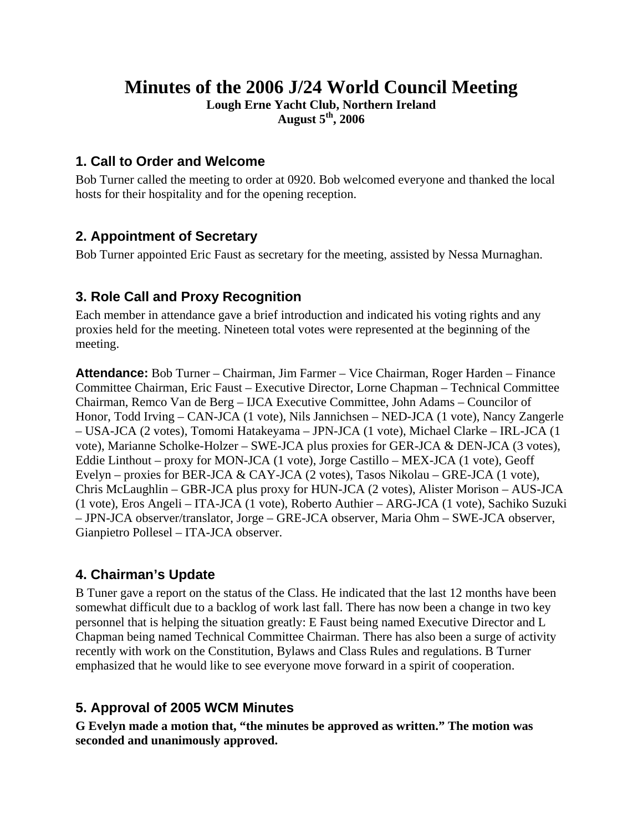# **Minutes of the 2006 J/24 World Council Meeting**

**Lough Erne Yacht Club, Northern Ireland August 5th, 2006** 

### **1. Call to Order and Welcome**

Bob Turner called the meeting to order at 0920. Bob welcomed everyone and thanked the local hosts for their hospitality and for the opening reception.

## **2. Appointment of Secretary**

Bob Turner appointed Eric Faust as secretary for the meeting, assisted by Nessa Murnaghan.

## **3. Role Call and Proxy Recognition**

Each member in attendance gave a brief introduction and indicated his voting rights and any proxies held for the meeting. Nineteen total votes were represented at the beginning of the meeting.

**Attendance:** Bob Turner – Chairman, Jim Farmer – Vice Chairman, Roger Harden – Finance Committee Chairman, Eric Faust – Executive Director, Lorne Chapman – Technical Committee Chairman, Remco Van de Berg – IJCA Executive Committee, John Adams – Councilor of Honor, Todd Irving – CAN-JCA (1 vote), Nils Jannichsen – NED-JCA (1 vote), Nancy Zangerle – USA-JCA (2 votes), Tomomi Hatakeyama – JPN-JCA (1 vote), Michael Clarke – IRL-JCA (1 vote), Marianne Scholke-Holzer – SWE-JCA plus proxies for GER-JCA & DEN-JCA (3 votes), Eddie Linthout – proxy for MON-JCA (1 vote), Jorge Castillo – MEX-JCA (1 vote), Geoff Evelyn – proxies for BER-JCA & CAY-JCA (2 votes), Tasos Nikolau – GRE-JCA (1 vote), Chris McLaughlin – GBR-JCA plus proxy for HUN-JCA (2 votes), Alister Morison – AUS-JCA (1 vote), Eros Angeli – ITA-JCA (1 vote), Roberto Authier – ARG-JCA (1 vote), Sachiko Suzuki – JPN-JCA observer/translator, Jorge – GRE-JCA observer, Maria Ohm – SWE-JCA observer, Gianpietro Pollesel – ITA-JCA observer.

## **4. Chairman's Update**

B Tuner gave a report on the status of the Class. He indicated that the last 12 months have been somewhat difficult due to a backlog of work last fall. There has now been a change in two key personnel that is helping the situation greatly: E Faust being named Executive Director and L Chapman being named Technical Committee Chairman. There has also been a surge of activity recently with work on the Constitution, Bylaws and Class Rules and regulations. B Turner emphasized that he would like to see everyone move forward in a spirit of cooperation.

## **5. Approval of 2005 WCM Minutes**

**G Evelyn made a motion that, "the minutes be approved as written." The motion was seconded and unanimously approved.**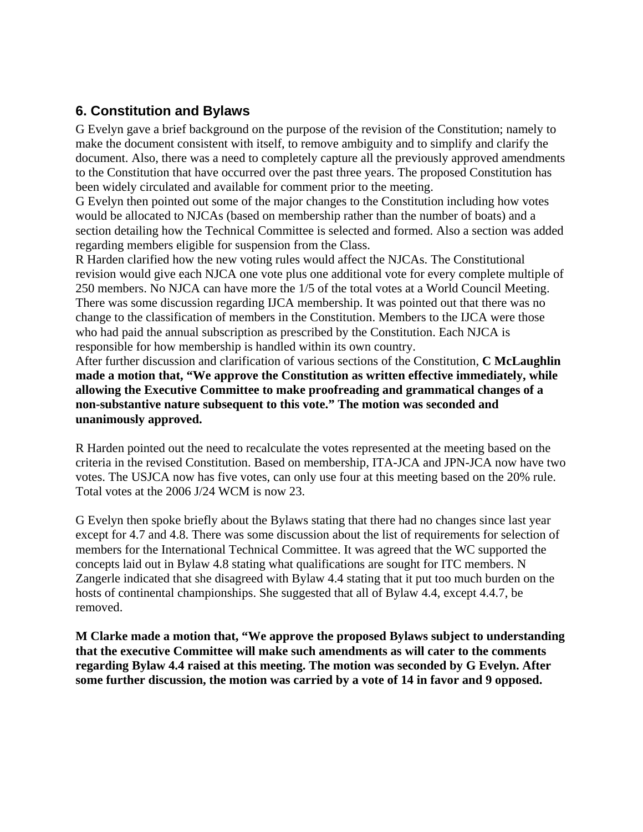## **6. Constitution and Bylaws**

G Evelyn gave a brief background on the purpose of the revision of the Constitution; namely to make the document consistent with itself, to remove ambiguity and to simplify and clarify the document. Also, there was a need to completely capture all the previously approved amendments to the Constitution that have occurred over the past three years. The proposed Constitution has been widely circulated and available for comment prior to the meeting.

G Evelyn then pointed out some of the major changes to the Constitution including how votes would be allocated to NJCAs (based on membership rather than the number of boats) and a section detailing how the Technical Committee is selected and formed. Also a section was added regarding members eligible for suspension from the Class.

R Harden clarified how the new voting rules would affect the NJCAs. The Constitutional revision would give each NJCA one vote plus one additional vote for every complete multiple of 250 members. No NJCA can have more the 1/5 of the total votes at a World Council Meeting. There was some discussion regarding IJCA membership. It was pointed out that there was no change to the classification of members in the Constitution. Members to the IJCA were those who had paid the annual subscription as prescribed by the Constitution. Each NJCA is responsible for how membership is handled within its own country.

After further discussion and clarification of various sections of the Constitution, **C McLaughlin made a motion that, "We approve the Constitution as written effective immediately, while allowing the Executive Committee to make proofreading and grammatical changes of a non-substantive nature subsequent to this vote." The motion was seconded and unanimously approved.** 

R Harden pointed out the need to recalculate the votes represented at the meeting based on the criteria in the revised Constitution. Based on membership, ITA-JCA and JPN-JCA now have two votes. The USJCA now has five votes, can only use four at this meeting based on the 20% rule. Total votes at the 2006 J/24 WCM is now 23.

G Evelyn then spoke briefly about the Bylaws stating that there had no changes since last year except for 4.7 and 4.8. There was some discussion about the list of requirements for selection of members for the International Technical Committee. It was agreed that the WC supported the concepts laid out in Bylaw 4.8 stating what qualifications are sought for ITC members. N Zangerle indicated that she disagreed with Bylaw 4.4 stating that it put too much burden on the hosts of continental championships. She suggested that all of Bylaw 4.4, except 4.4.7, be removed.

**M Clarke made a motion that, "We approve the proposed Bylaws subject to understanding that the executive Committee will make such amendments as will cater to the comments regarding Bylaw 4.4 raised at this meeting. The motion was seconded by G Evelyn. After some further discussion, the motion was carried by a vote of 14 in favor and 9 opposed.**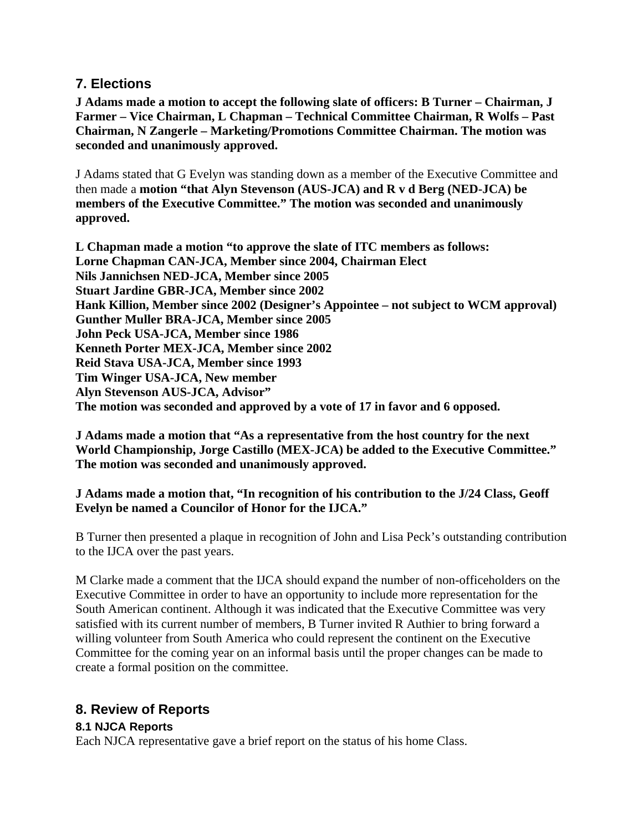### **7. Elections**

**J Adams made a motion to accept the following slate of officers: B Turner – Chairman, J Farmer – Vice Chairman, L Chapman – Technical Committee Chairman, R Wolfs – Past Chairman, N Zangerle – Marketing/Promotions Committee Chairman. The motion was seconded and unanimously approved.** 

J Adams stated that G Evelyn was standing down as a member of the Executive Committee and then made a **motion "that Alyn Stevenson (AUS-JCA) and R v d Berg (NED-JCA) be members of the Executive Committee." The motion was seconded and unanimously approved.** 

**L Chapman made a motion "to approve the slate of ITC members as follows: Lorne Chapman CAN-JCA, Member since 2004, Chairman Elect Nils Jannichsen NED-JCA, Member since 2005 Stuart Jardine GBR-JCA, Member since 2002 Hank Killion, Member since 2002 (Designer's Appointee – not subject to WCM approval) Gunther Muller BRA-JCA, Member since 2005 John Peck USA-JCA, Member since 1986 Kenneth Porter MEX-JCA, Member since 2002 Reid Stava USA-JCA, Member since 1993 Tim Winger USA-JCA, New member Alyn Stevenson AUS-JCA, Advisor" The motion was seconded and approved by a vote of 17 in favor and 6 opposed.** 

**J Adams made a motion that "As a representative from the host country for the next World Championship, Jorge Castillo (MEX-JCA) be added to the Executive Committee." The motion was seconded and unanimously approved.** 

#### **J Adams made a motion that, "In recognition of his contribution to the J/24 Class, Geoff Evelyn be named a Councilor of Honor for the IJCA."**

B Turner then presented a plaque in recognition of John and Lisa Peck's outstanding contribution to the IJCA over the past years.

M Clarke made a comment that the IJCA should expand the number of non-officeholders on the Executive Committee in order to have an opportunity to include more representation for the South American continent. Although it was indicated that the Executive Committee was very satisfied with its current number of members, B Turner invited R Authier to bring forward a willing volunteer from South America who could represent the continent on the Executive Committee for the coming year on an informal basis until the proper changes can be made to create a formal position on the committee.

## **8. Review of Reports**

#### **8.1 NJCA Reports**

Each NJCA representative gave a brief report on the status of his home Class.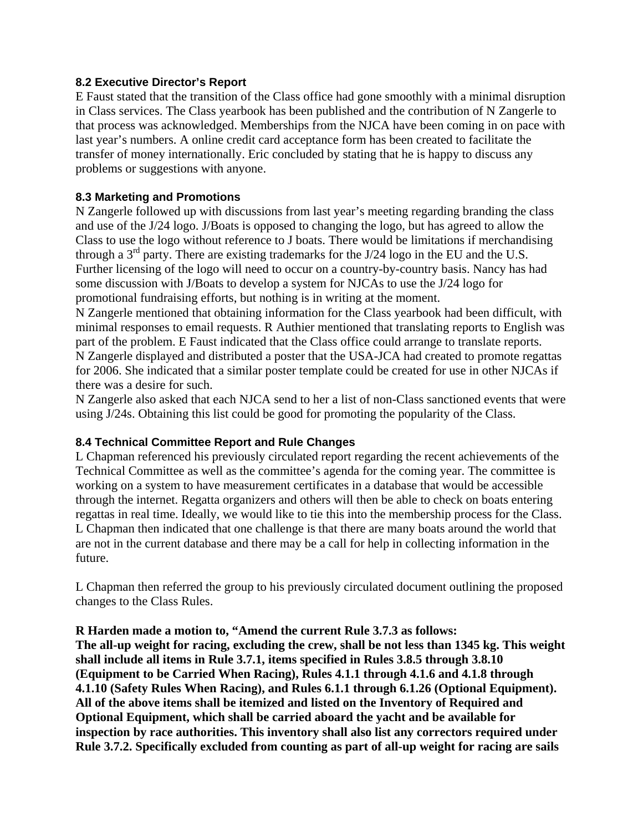#### **8.2 Executive Director's Report**

E Faust stated that the transition of the Class office had gone smoothly with a minimal disruption in Class services. The Class yearbook has been published and the contribution of N Zangerle to that process was acknowledged. Memberships from the NJCA have been coming in on pace with last year's numbers. A online credit card acceptance form has been created to facilitate the transfer of money internationally. Eric concluded by stating that he is happy to discuss any problems or suggestions with anyone.

#### **8.3 Marketing and Promotions**

N Zangerle followed up with discussions from last year's meeting regarding branding the class and use of the J/24 logo. J/Boats is opposed to changing the logo, but has agreed to allow the Class to use the logo without reference to J boats. There would be limitations if merchandising through a  $3<sup>rd</sup>$  party. There are existing trademarks for the J/24 logo in the EU and the U.S. Further licensing of the logo will need to occur on a country-by-country basis. Nancy has had some discussion with J/Boats to develop a system for NJCAs to use the J/24 logo for promotional fundraising efforts, but nothing is in writing at the moment.

N Zangerle mentioned that obtaining information for the Class yearbook had been difficult, with minimal responses to email requests. R Authier mentioned that translating reports to English was part of the problem. E Faust indicated that the Class office could arrange to translate reports. N Zangerle displayed and distributed a poster that the USA-JCA had created to promote regattas for 2006. She indicated that a similar poster template could be created for use in other NJCAs if there was a desire for such.

N Zangerle also asked that each NJCA send to her a list of non-Class sanctioned events that were using J/24s. Obtaining this list could be good for promoting the popularity of the Class.

#### **8.4 Technical Committee Report and Rule Changes**

L Chapman referenced his previously circulated report regarding the recent achievements of the Technical Committee as well as the committee's agenda for the coming year. The committee is working on a system to have measurement certificates in a database that would be accessible through the internet. Regatta organizers and others will then be able to check on boats entering regattas in real time. Ideally, we would like to tie this into the membership process for the Class. L Chapman then indicated that one challenge is that there are many boats around the world that are not in the current database and there may be a call for help in collecting information in the future.

L Chapman then referred the group to his previously circulated document outlining the proposed changes to the Class Rules.

#### **R Harden made a motion to, "Amend the current Rule 3.7.3 as follows:**

**The all-up weight for racing, excluding the crew, shall be not less than 1345 kg. This weight shall include all items in Rule 3.7.1, items specified in Rules 3.8.5 through 3.8.10 (Equipment to be Carried When Racing), Rules 4.1.1 through 4.1.6 and 4.1.8 through 4.1.10 (Safety Rules When Racing), and Rules 6.1.1 through 6.1.26 (Optional Equipment). All of the above items shall be itemized and listed on the Inventory of Required and Optional Equipment, which shall be carried aboard the yacht and be available for inspection by race authorities. This inventory shall also list any correctors required under Rule 3.7.2. Specifically excluded from counting as part of all-up weight for racing are sails**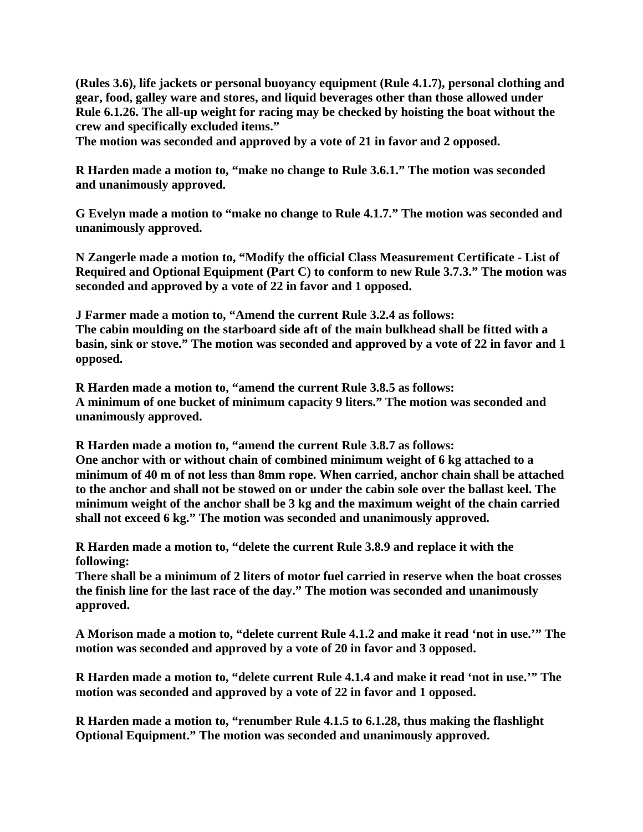**(Rules 3.6), life jackets or personal buoyancy equipment (Rule 4.1.7), personal clothing and gear, food, galley ware and stores, and liquid beverages other than those allowed under Rule 6.1.26. The all-up weight for racing may be checked by hoisting the boat without the crew and specifically excluded items."** 

**The motion was seconded and approved by a vote of 21 in favor and 2 opposed.** 

**R Harden made a motion to, "make no change to Rule 3.6.1." The motion was seconded and unanimously approved.** 

**G Evelyn made a motion to "make no change to Rule 4.1.7." The motion was seconded and unanimously approved.** 

**N Zangerle made a motion to, "Modify the official Class Measurement Certificate - List of Required and Optional Equipment (Part C) to conform to new Rule 3.7.3." The motion was seconded and approved by a vote of 22 in favor and 1 opposed.** 

**J Farmer made a motion to, "Amend the current Rule 3.2.4 as follows: The cabin moulding on the starboard side aft of the main bulkhead shall be fitted with a basin, sink or stove." The motion was seconded and approved by a vote of 22 in favor and 1 opposed.** 

**R Harden made a motion to, "amend the current Rule 3.8.5 as follows: A minimum of one bucket of minimum capacity 9 liters." The motion was seconded and unanimously approved.** 

**R Harden made a motion to, "amend the current Rule 3.8.7 as follows: One anchor with or without chain of combined minimum weight of 6 kg attached to a minimum of 40 m of not less than 8mm rope. When carried, anchor chain shall be attached to the anchor and shall not be stowed on or under the cabin sole over the ballast keel. The minimum weight of the anchor shall be 3 kg and the maximum weight of the chain carried shall not exceed 6 kg." The motion was seconded and unanimously approved.** 

**R Harden made a motion to, "delete the current Rule 3.8.9 and replace it with the following:** 

**There shall be a minimum of 2 liters of motor fuel carried in reserve when the boat crosses the finish line for the last race of the day." The motion was seconded and unanimously approved.** 

**A Morison made a motion to, "delete current Rule 4.1.2 and make it read 'not in use.'" The motion was seconded and approved by a vote of 20 in favor and 3 opposed.** 

**R Harden made a motion to, "delete current Rule 4.1.4 and make it read 'not in use.'" The motion was seconded and approved by a vote of 22 in favor and 1 opposed.** 

**R Harden made a motion to, "renumber Rule 4.1.5 to 6.1.28, thus making the flashlight Optional Equipment." The motion was seconded and unanimously approved.**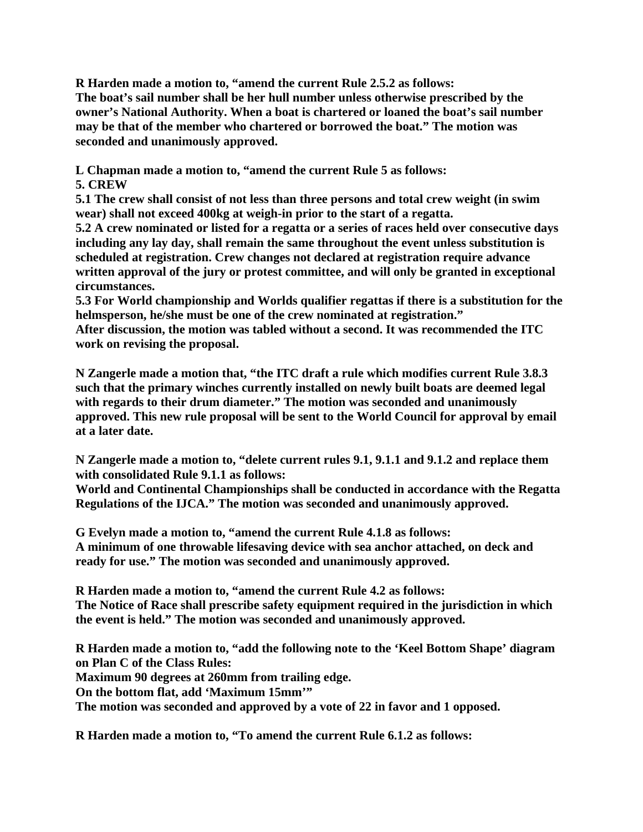**R Harden made a motion to, "amend the current Rule 2.5.2 as follows: The boat's sail number shall be her hull number unless otherwise prescribed by the owner's National Authority. When a boat is chartered or loaned the boat's sail number may be that of the member who chartered or borrowed the boat." The motion was seconded and unanimously approved.** 

**L Chapman made a motion to, "amend the current Rule 5 as follows:** 

**5. CREW** 

**5.1 The crew shall consist of not less than three persons and total crew weight (in swim wear) shall not exceed 400kg at weigh-in prior to the start of a regatta.** 

**5.2 A crew nominated or listed for a regatta or a series of races held over consecutive days including any lay day, shall remain the same throughout the event unless substitution is scheduled at registration. Crew changes not declared at registration require advance written approval of the jury or protest committee, and will only be granted in exceptional circumstances.** 

**5.3 For World championship and Worlds qualifier regattas if there is a substitution for the helmsperson, he/she must be one of the crew nominated at registration."** 

**After discussion, the motion was tabled without a second. It was recommended the ITC work on revising the proposal.** 

**N Zangerle made a motion that, "the ITC draft a rule which modifies current Rule 3.8.3 such that the primary winches currently installed on newly built boats are deemed legal with regards to their drum diameter." The motion was seconded and unanimously approved. This new rule proposal will be sent to the World Council for approval by email at a later date.** 

**N Zangerle made a motion to, "delete current rules 9.1, 9.1.1 and 9.1.2 and replace them with consolidated Rule 9.1.1 as follows:** 

**World and Continental Championships shall be conducted in accordance with the Regatta Regulations of the IJCA." The motion was seconded and unanimously approved.** 

**G Evelyn made a motion to, "amend the current Rule 4.1.8 as follows: A minimum of one throwable lifesaving device with sea anchor attached, on deck and ready for use." The motion was seconded and unanimously approved.** 

**R Harden made a motion to, "amend the current Rule 4.2 as follows: The Notice of Race shall prescribe safety equipment required in the jurisdiction in which the event is held." The motion was seconded and unanimously approved.** 

**R Harden made a motion to, "add the following note to the 'Keel Bottom Shape' diagram on Plan C of the Class Rules:** 

**Maximum 90 degrees at 260mm from trailing edge.** 

**On the bottom flat, add 'Maximum 15mm'"** 

**The motion was seconded and approved by a vote of 22 in favor and 1 opposed.** 

**R Harden made a motion to, "To amend the current Rule 6.1.2 as follows:**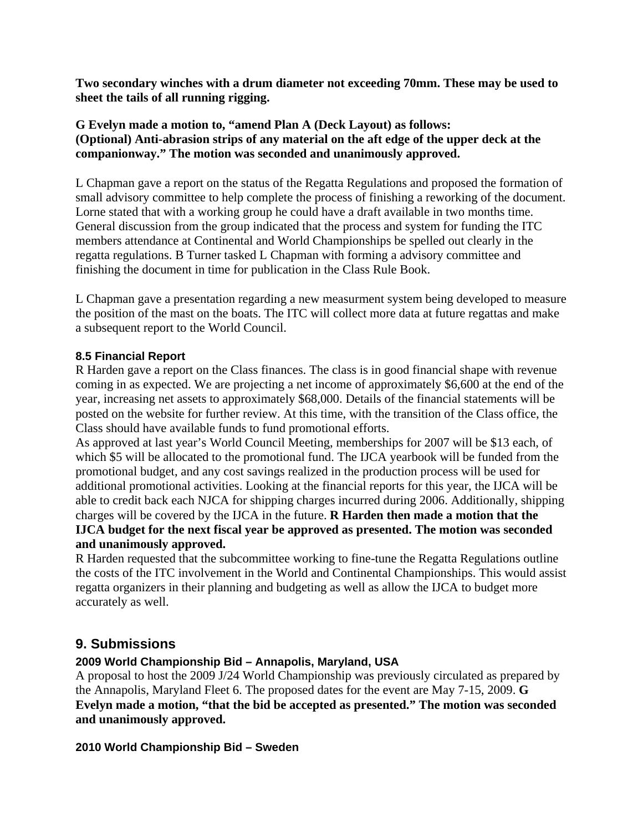**Two secondary winches with a drum diameter not exceeding 70mm. These may be used to sheet the tails of all running rigging.** 

**G Evelyn made a motion to, "amend Plan A (Deck Layout) as follows: (Optional) Anti-abrasion strips of any material on the aft edge of the upper deck at the companionway." The motion was seconded and unanimously approved.** 

L Chapman gave a report on the status of the Regatta Regulations and proposed the formation of small advisory committee to help complete the process of finishing a reworking of the document. Lorne stated that with a working group he could have a draft available in two months time. General discussion from the group indicated that the process and system for funding the ITC members attendance at Continental and World Championships be spelled out clearly in the regatta regulations. B Turner tasked L Chapman with forming a advisory committee and finishing the document in time for publication in the Class Rule Book.

L Chapman gave a presentation regarding a new measurment system being developed to measure the position of the mast on the boats. The ITC will collect more data at future regattas and make a subsequent report to the World Council.

#### **8.5 Financial Report**

R Harden gave a report on the Class finances. The class is in good financial shape with revenue coming in as expected. We are projecting a net income of approximately \$6,600 at the end of the year, increasing net assets to approximately \$68,000. Details of the financial statements will be posted on the website for further review. At this time, with the transition of the Class office, the Class should have available funds to fund promotional efforts.

As approved at last year's World Council Meeting, memberships for 2007 will be \$13 each, of which \$5 will be allocated to the promotional fund. The IJCA yearbook will be funded from the promotional budget, and any cost savings realized in the production process will be used for additional promotional activities. Looking at the financial reports for this year, the IJCA will be able to credit back each NJCA for shipping charges incurred during 2006. Additionally, shipping charges will be covered by the IJCA in the future. **R Harden then made a motion that the IJCA budget for the next fiscal year be approved as presented. The motion was seconded and unanimously approved.** 

R Harden requested that the subcommittee working to fine-tune the Regatta Regulations outline the costs of the ITC involvement in the World and Continental Championships. This would assist regatta organizers in their planning and budgeting as well as allow the IJCA to budget more accurately as well.

### **9. Submissions**

### **2009 World Championship Bid – Annapolis, Maryland, USA**

A proposal to host the 2009 J/24 World Championship was previously circulated as prepared by the Annapolis, Maryland Fleet 6. The proposed dates for the event are May 7-15, 2009. **G Evelyn made a motion, "that the bid be accepted as presented." The motion was seconded and unanimously approved.** 

#### **2010 World Championship Bid – Sweden**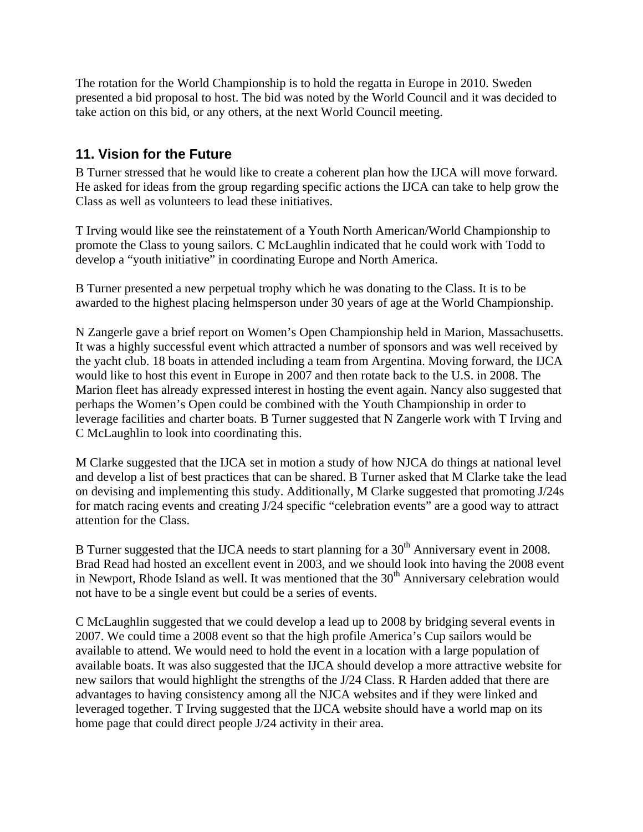The rotation for the World Championship is to hold the regatta in Europe in 2010. Sweden presented a bid proposal to host. The bid was noted by the World Council and it was decided to take action on this bid, or any others, at the next World Council meeting.

## **11. Vision for the Future**

B Turner stressed that he would like to create a coherent plan how the IJCA will move forward. He asked for ideas from the group regarding specific actions the IJCA can take to help grow the Class as well as volunteers to lead these initiatives.

T Irving would like see the reinstatement of a Youth North American/World Championship to promote the Class to young sailors. C McLaughlin indicated that he could work with Todd to develop a "youth initiative" in coordinating Europe and North America.

B Turner presented a new perpetual trophy which he was donating to the Class. It is to be awarded to the highest placing helmsperson under 30 years of age at the World Championship.

N Zangerle gave a brief report on Women's Open Championship held in Marion, Massachusetts. It was a highly successful event which attracted a number of sponsors and was well received by the yacht club. 18 boats in attended including a team from Argentina. Moving forward, the IJCA would like to host this event in Europe in 2007 and then rotate back to the U.S. in 2008. The Marion fleet has already expressed interest in hosting the event again. Nancy also suggested that perhaps the Women's Open could be combined with the Youth Championship in order to leverage facilities and charter boats. B Turner suggested that N Zangerle work with T Irving and C McLaughlin to look into coordinating this.

M Clarke suggested that the IJCA set in motion a study of how NJCA do things at national level and develop a list of best practices that can be shared. B Turner asked that M Clarke take the lead on devising and implementing this study. Additionally, M Clarke suggested that promoting J/24s for match racing events and creating J/24 specific "celebration events" are a good way to attract attention for the Class.

B Turner suggested that the IJCA needs to start planning for a 30<sup>th</sup> Anniversary event in 2008. Brad Read had hosted an excellent event in 2003, and we should look into having the 2008 event in Newport, Rhode Island as well. It was mentioned that the  $30<sup>th</sup>$  Anniversary celebration would not have to be a single event but could be a series of events.

C McLaughlin suggested that we could develop a lead up to 2008 by bridging several events in 2007. We could time a 2008 event so that the high profile America's Cup sailors would be available to attend. We would need to hold the event in a location with a large population of available boats. It was also suggested that the IJCA should develop a more attractive website for new sailors that would highlight the strengths of the J/24 Class. R Harden added that there are advantages to having consistency among all the NJCA websites and if they were linked and leveraged together. T Irving suggested that the IJCA website should have a world map on its home page that could direct people J/24 activity in their area.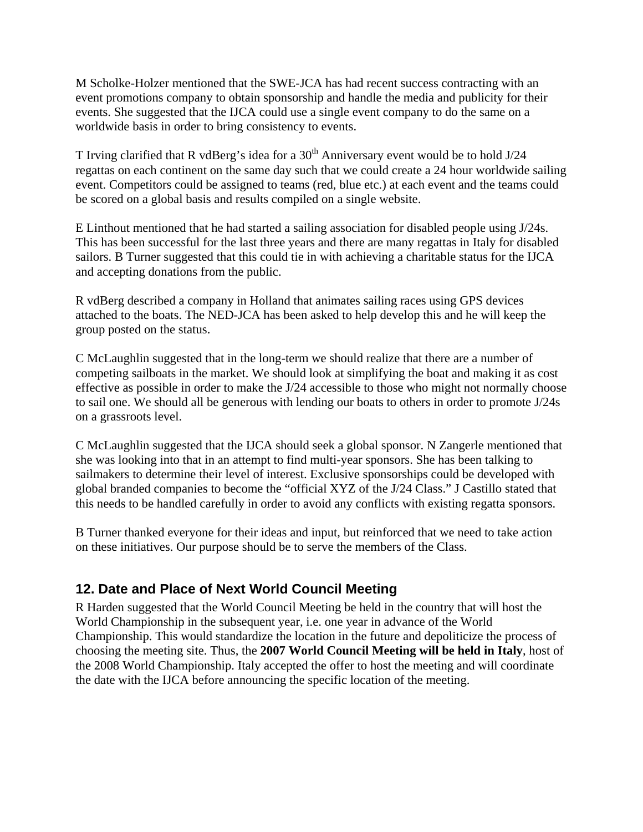M Scholke-Holzer mentioned that the SWE-JCA has had recent success contracting with an event promotions company to obtain sponsorship and handle the media and publicity for their events. She suggested that the IJCA could use a single event company to do the same on a worldwide basis in order to bring consistency to events.

T Irving clarified that R vdBerg's idea for a  $30<sup>th</sup>$  Anniversary event would be to hold J/24 regattas on each continent on the same day such that we could create a 24 hour worldwide sailing event. Competitors could be assigned to teams (red, blue etc.) at each event and the teams could be scored on a global basis and results compiled on a single website.

E Linthout mentioned that he had started a sailing association for disabled people using J/24s. This has been successful for the last three years and there are many regattas in Italy for disabled sailors. B Turner suggested that this could tie in with achieving a charitable status for the IJCA and accepting donations from the public.

R vdBerg described a company in Holland that animates sailing races using GPS devices attached to the boats. The NED-JCA has been asked to help develop this and he will keep the group posted on the status.

C McLaughlin suggested that in the long-term we should realize that there are a number of competing sailboats in the market. We should look at simplifying the boat and making it as cost effective as possible in order to make the J/24 accessible to those who might not normally choose to sail one. We should all be generous with lending our boats to others in order to promote J/24s on a grassroots level.

C McLaughlin suggested that the IJCA should seek a global sponsor. N Zangerle mentioned that she was looking into that in an attempt to find multi-year sponsors. She has been talking to sailmakers to determine their level of interest. Exclusive sponsorships could be developed with global branded companies to become the "official XYZ of the J/24 Class." J Castillo stated that this needs to be handled carefully in order to avoid any conflicts with existing regatta sponsors.

B Turner thanked everyone for their ideas and input, but reinforced that we need to take action on these initiatives. Our purpose should be to serve the members of the Class.

## **12. Date and Place of Next World Council Meeting**

R Harden suggested that the World Council Meeting be held in the country that will host the World Championship in the subsequent year, i.e. one year in advance of the World Championship. This would standardize the location in the future and depoliticize the process of choosing the meeting site. Thus, the **2007 World Council Meeting will be held in Italy**, host of the 2008 World Championship. Italy accepted the offer to host the meeting and will coordinate the date with the IJCA before announcing the specific location of the meeting.